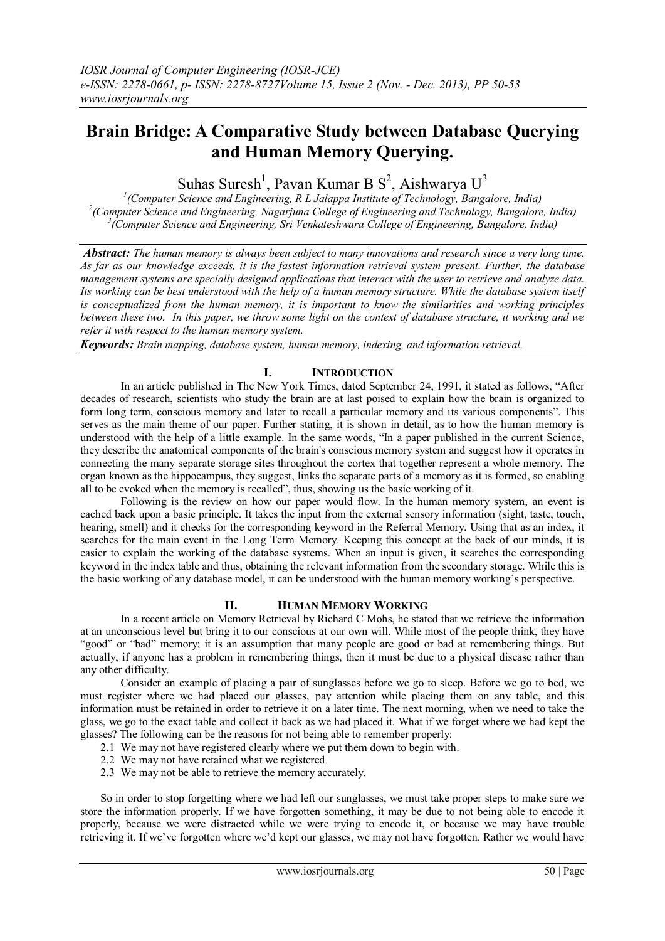# **Brain Bridge: A Comparative Study between Database Querying and Human Memory Querying.**

Suhas Suresh<sup>1</sup>, Pavan Kumar B  $S^2$ , Aishwarya  $U^3$ 

*1 (Computer Science and Engineering, R L Jalappa Institute of Technology, Bangalore, India) 2 (Computer Science and Engineering, Nagarjuna College of Engineering and Technology, Bangalore, India) 3 (Computer Science and Engineering, Sri Venkateshwara College of Engineering, Bangalore, India)*

*Abstract: The human memory is always been subject to many innovations and research since a very long time. As far as our knowledge exceeds, it is the fastest information retrieval system present. Further, the database management systems are specially designed applications that interact with the user to retrieve and analyze data. Its working can be best understood with the help of a human memory structure. While the database system itself is conceptualized from the human memory, it is important to know the similarities and working principles between these two. In this paper, we throw some light on the context of database structure, it working and we refer it with respect to the human memory system.*

*Keywords: Brain mapping, database system, human memory, indexing, and information retrieval.*

# **I. INTRODUCTION**

In an article published in The New York Times, dated September 24, 1991, it stated as follows, "After decades of research, scientists who study the brain are at last poised to explain how the brain is organized to form long term, conscious memory and later to recall a particular memory and its various components". This serves as the main theme of our paper. Further stating, it is shown in detail, as to how the human memory is understood with the help of a little example. In the same words, "In a paper published in the current Science, they describe the anatomical components of the brain's conscious memory system and suggest how it operates in connecting the many separate storage sites throughout the cortex that together represent a whole memory. The organ known as the hippocampus, they suggest, links the separate parts of a memory as it is formed, so enabling all to be evoked when the memory is recalled", thus, showing us the basic working of it.

Following is the review on how our paper would flow. In the human memory system, an event is cached back upon a basic principle. It takes the input from the external sensory information (sight, taste, touch, hearing, smell) and it checks for the corresponding keyword in the Referral Memory. Using that as an index, it searches for the main event in the Long Term Memory. Keeping this concept at the back of our minds, it is easier to explain the working of the database systems. When an input is given, it searches the corresponding keyword in the index table and thus, obtaining the relevant information from the secondary storage. While this is the basic working of any database model, it can be understood with the human memory working's perspective.

# **II. HUMAN MEMORY WORKING**

In a recent article on Memory Retrieval by Richard C Mohs, he stated that we retrieve the information at an unconscious level but bring it to our conscious at our own will. While most of the people think, they have "good" or "bad" memory; it is an assumption that many people are good or bad at remembering things. But actually, if anyone has a problem in remembering things, then it must be due to a physical disease rather than any other difficulty.

Consider an example of placing a pair of sunglasses before we go to sleep. Before we go to bed, we must register where we had placed our glasses, pay attention while placing them on any table, and this information must be retained in order to retrieve it on a later time. The next morning, when we need to take the glass, we go to the exact table and collect it back as we had placed it. What if we forget where we had kept the glasses? The following can be the reasons for not being able to remember properly:

- 2.1 We may not have registered clearly where we put them down to begin with.
- 2.2 We may not have retained what we registered.
- 2.3 We may not be able to retrieve the memory accurately.

So in order to stop forgetting where we had left our sunglasses, we must take proper steps to make sure we store the information properly. If we have forgotten something, it may be due to not being able to encode it properly, because we were distracted while we were trying to encode it, or because we may have trouble retrieving it. If we've forgotten where we'd kept our glasses, we may not have forgotten. Rather we would have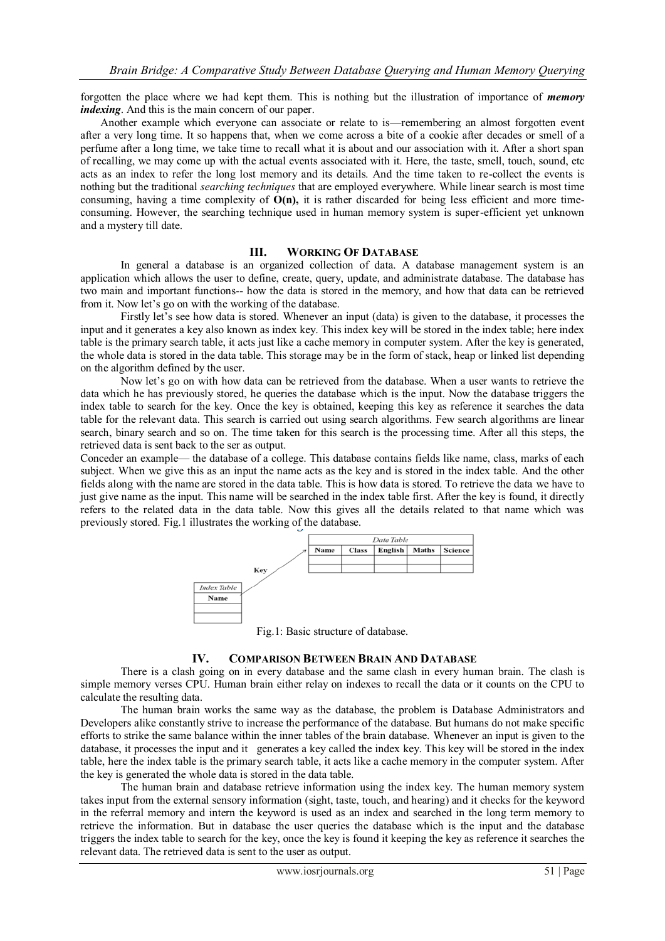forgotten the place where we had kept them. This is nothing but the illustration of importance of *memory indexing*. And this is the main concern of our paper.

Another example which everyone can associate or relate to is—remembering an almost forgotten event after a very long time. It so happens that, when we come across a bite of a cookie after decades or smell of a perfume after a long time, we take time to recall what it is about and our association with it. After a short span of recalling, we may come up with the actual events associated with it. Here, the taste, smell, touch, sound, etc acts as an index to refer the long lost memory and its details. And the time taken to re-collect the events is nothing but the traditional *searching techniques* that are employed everywhere. While linear search is most time consuming, having a time complexity of **O(n),** it is rather discarded for being less efficient and more timeconsuming. However, the searching technique used in human memory system is super-efficient yet unknown and a mystery till date.

#### **III. WORKING OF DATABASE**

In general a database is an organized collection of data. A database management system is an application which allows the user to define, create, query, update, and administrate database. The database has two main and important functions-- how the data is stored in the memory, and how that data can be retrieved from it. Now let's go on with the working of the database.

Firstly let's see how data is stored. Whenever an input (data) is given to the database, it processes the input and it generates a key also known as index key. This index key will be stored in the index table; here index table is the primary search table, it acts just like a cache memory in computer system. After the key is generated, the whole data is stored in the data table. This storage may be in the form of stack, heap or linked list depending on the algorithm defined by the user.

Now let's go on with how data can be retrieved from the database. When a user wants to retrieve the data which he has previously stored, he queries the database which is the input. Now the database triggers the index table to search for the key. Once the key is obtained, keeping this key as reference it searches the data table for the relevant data. This search is carried out using search algorithms. Few search algorithms are linear search, binary search and so on. The time taken for this search is the processing time. After all this steps, the retrieved data is sent back to the ser as output.

Conceder an example— the database of a college. This database contains fields like name, class, marks of each subject. When we give this as an input the name acts as the key and is stored in the index table. And the other fields along with the name are stored in the data table. This is how data is stored. To retrieve the data we have to just give name as the input. This name will be searched in the index table first. After the key is found, it directly refers to the related data in the data table. Now this gives all the details related to that name which was previously stored. Fig.1 illustrates the working of the database.



Fig.1: Basic structure of database.

#### **IV. COMPARISON BETWEEN BRAIN AND DATABASE**

There is a clash going on in every database and the same clash in every human brain. The clash is simple memory verses CPU. Human brain either relay on indexes to recall the data or it counts on the CPU to calculate the resulting data.

The human brain works the same way as the database, the problem is Database Administrators and Developers alike constantly strive to increase the performance of the database. But humans do not make specific efforts to strike the same balance within the inner tables of the brain database. Whenever an input is given to the database, it processes the input and it generates a key called the index key. This key will be stored in the index table, here the index table is the primary search table, it acts like a cache memory in the computer system. After the key is generated the whole data is stored in the data table.

The human brain and database retrieve information using the index key. The human memory system takes input from the external sensory information (sight, taste, touch, and hearing) and it checks for the keyword in the referral memory and intern the keyword is used as an index and searched in the long term memory to retrieve the information. But in database the user queries the database which is the input and the database triggers the index table to search for the key, once the key is found it keeping the key as reference it searches the relevant data. The retrieved data is sent to the user as output.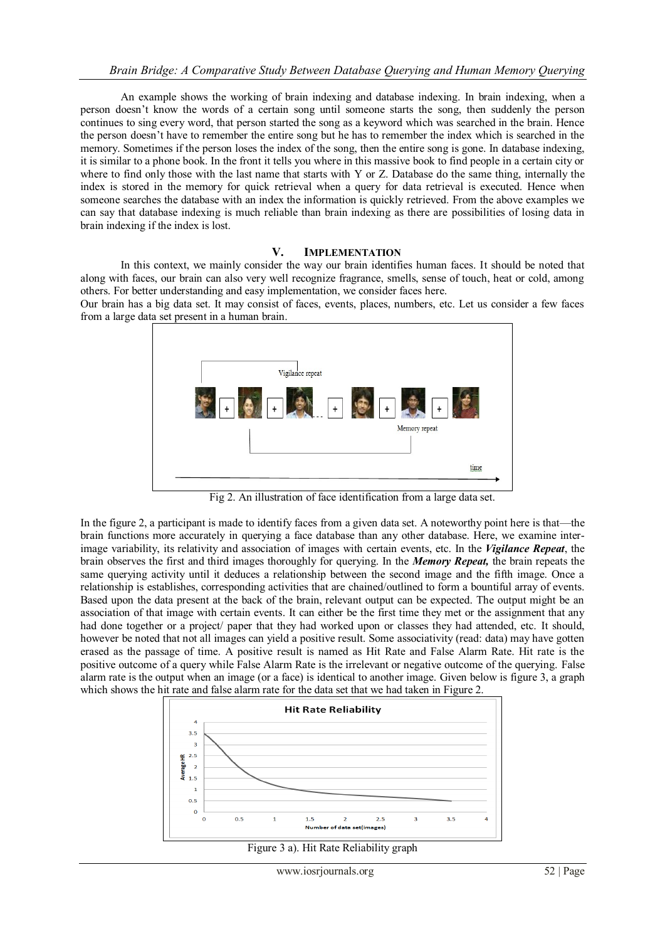An example shows the working of brain indexing and database indexing. In brain indexing, when a person doesn't know the words of a certain song until someone starts the song, then suddenly the person continues to sing every word, that person started the song as a keyword which was searched in the brain. Hence the person doesn't have to remember the entire song but he has to remember the index which is searched in the memory. Sometimes if the person loses the index of the song, then the entire song is gone. In database indexing, it is similar to a phone book. In the front it tells you where in this massive book to find people in a certain city or where to find only those with the last name that starts with Y or Z. Database do the same thing, internally the index is stored in the memory for quick retrieval when a query for data retrieval is executed. Hence when someone searches the database with an index the information is quickly retrieved. From the above examples we can say that database indexing is much reliable than brain indexing as there are possibilities of losing data in brain indexing if the index is lost.

# **V. IMPLEMENTATION**

In this context, we mainly consider the way our brain identifies human faces. It should be noted that along with faces, our brain can also very well recognize fragrance, smells, sense of touch, heat or cold, among others. For better understanding and easy implementation, we consider faces here.

Our brain has a big data set. It may consist of faces, events, places, numbers, etc. Let us consider a few faces from a large data set present in a human brain.



Fig 2. An illustration of face identification from a large data set.

In the figure 2, a participant is made to identify faces from a given data set. A noteworthy point here is that—the brain functions more accurately in querying a face database than any other database. Here, we examine interimage variability, its relativity and association of images with certain events, etc. In the *Vigilance Repeat*, the brain observes the first and third images thoroughly for querying. In the *Memory Repeat,* the brain repeats the same querying activity until it deduces a relationship between the second image and the fifth image. Once a relationship is establishes, corresponding activities that are chained/outlined to form a bountiful array of events. Based upon the data present at the back of the brain, relevant output can be expected. The output might be an association of that image with certain events. It can either be the first time they met or the assignment that any had done together or a project/ paper that they had worked upon or classes they had attended, etc. It should, however be noted that not all images can yield a positive result. Some associativity (read: data) may have gotten erased as the passage of time. A positive result is named as Hit Rate and False Alarm Rate. Hit rate is the positive outcome of a query while False Alarm Rate is the irrelevant or negative outcome of the querying. False alarm rate is the output when an image (or a face) is identical to another image. Given below is figure 3, a graph which shows the hit rate and false alarm rate for the data set that we had taken in Figure 2.



Figure 3 a). Hit Rate Reliability graph